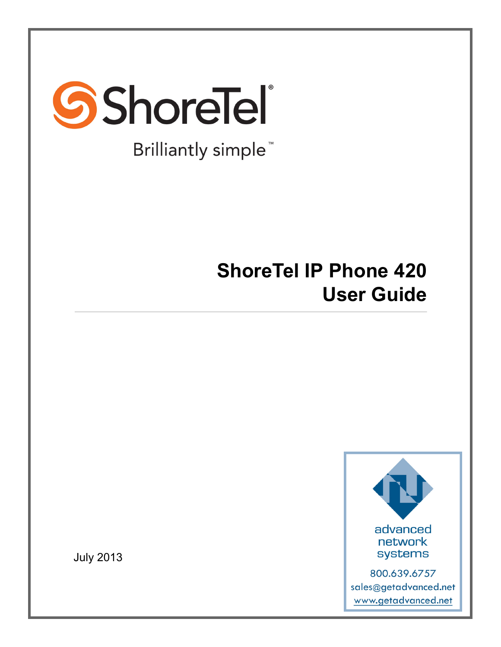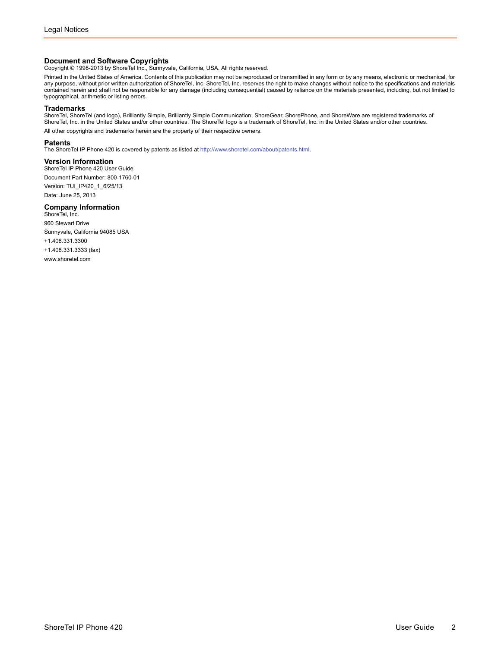**Document and Software Copyrights**<br>Copyright © 1998-2013 by ShoreTel Inc., Sunnyvale, California, USA. All rights reserved.

Printed in the United States of America. Contents of this publication may not be reproduced or transmitted in any form or by any means, electronic or mechanical, for any purpose, without prior written authorization of ShoreTel, Inc. ShoreTel, Inc. reserves the right to make changes without notice to the specifications and materials contained herein and shall not be responsible for any damage (including consequential) caused by reliance on the materials presented, including, but not limited to typographical, arithmetic or listing errors.

#### **Trademarks**

ShoreTel, ShoreTel (and logo), Brilliantly Simple, Brilliantly Simple Communication, ShoreGear, ShorePhone, and ShoreWare are registered trademarks of ShoreTel, Inc. in the United States and/or other countries. The ShoreTel logo is a trademark of ShoreTel, Inc. in the United States and/or other countries. All other copyrights and trademarks herein are the property of their respective owners.

#### **Patents**

The ShoreTel IP Phone 420 is covered by patents as listed at<http://www.shoretel.com/about/patents.html>.

#### **Version Information**

ShoreTel IP Phone 420 User Guide Document Part Number: 800-1760-01 Version: TUI\_IP420\_1\_6/25/13 Date: June 25, 2013

### **Company Information**<br>ShoreTel, Inc.

960 Stewart Drive Sunnyvale, California 94085 USA +1.408.331.3300 +1.408.331.3333 (fax) www.shoretel.com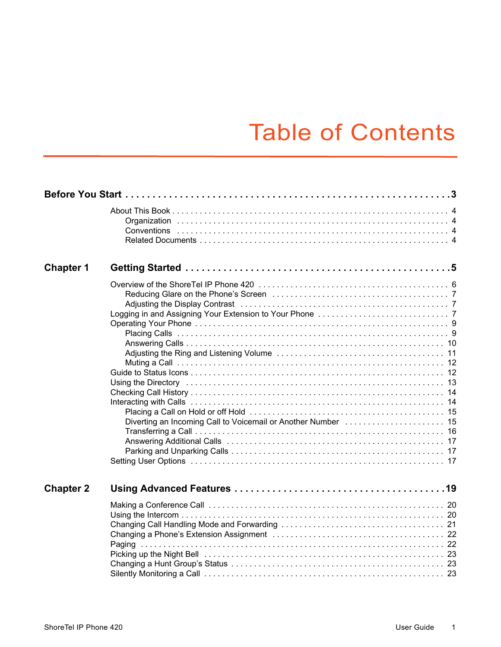# Table of Contents

| <b>Chapter 1</b> |  |
|------------------|--|
|                  |  |
| <b>Chapter 2</b> |  |
|                  |  |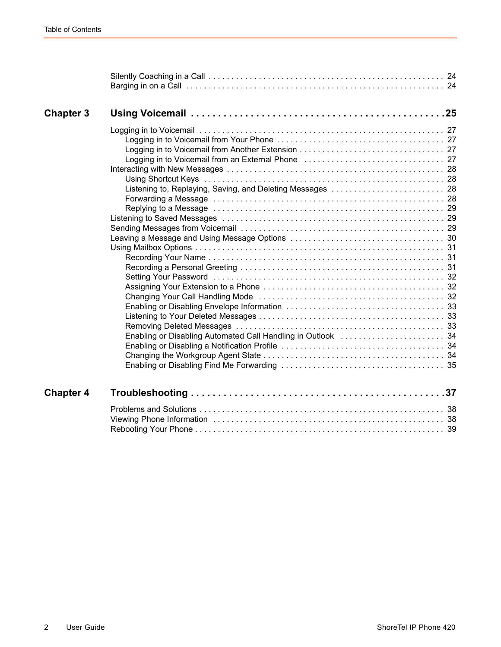| <b>Chapter 3</b> |                                                            |
|------------------|------------------------------------------------------------|
|                  | Listening to, Replaying, Saving, and Deleting Messages  28 |
| <b>Chapter 4</b> |                                                            |
|                  |                                                            |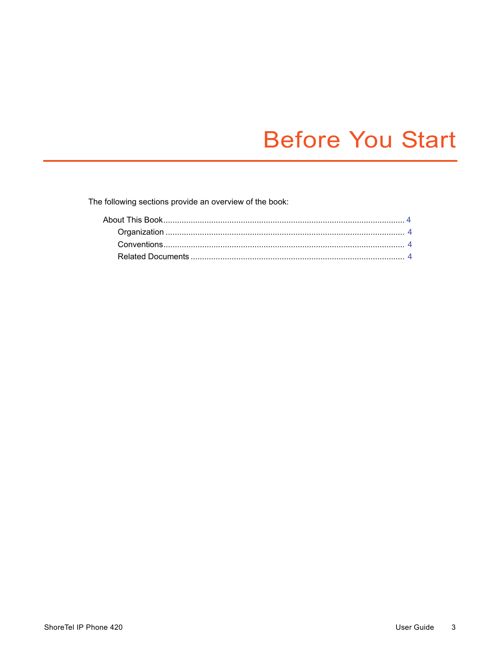# **Before You Start**

<span id="page-4-0"></span>The following sections provide an overview of the book: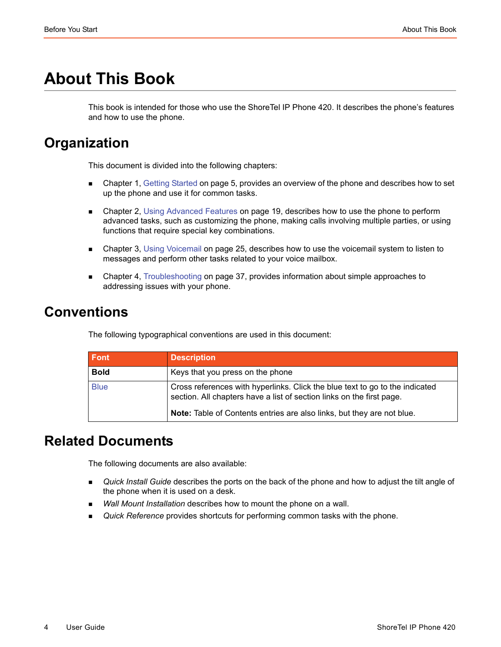# <span id="page-5-0"></span>**About This Book**

This book is intended for those who use the ShoreTel IP Phone 420. It describes the phone's features and how to use the phone.

## <span id="page-5-1"></span>**Organization**

This document is divided into the following chapters:

- **EX [Chapter 1, Getting Started on page 5,](#page-6-1) provides an overview of the phone and describes how to set** up the phone and use it for common tasks.
- **EXA** [Chapter 2, Using Advanced Features on page 19](#page-20-1), describes how to use the phone to perform advanced tasks, such as customizing the phone, making calls involving multiple parties, or using functions that require special key combinations.
- [Chapter 3, Using Voicemail on page 25](#page-26-1), describes how to use the voicemail system to listen to messages and perform other tasks related to your voice mailbox.
- [Chapter 4, Troubleshooting on page 37](#page-38-1), provides information about simple approaches to addressing issues with your phone.

## <span id="page-5-2"></span>**Conventions**

The following typographical conventions are used in this document:

| Font        | <b>Description</b>                                                                                                                                    |
|-------------|-------------------------------------------------------------------------------------------------------------------------------------------------------|
| <b>Bold</b> | Keys that you press on the phone                                                                                                                      |
| <b>Blue</b> | Cross references with hyperlinks. Click the blue text to go to the indicated<br>section. All chapters have a list of section links on the first page. |
|             | Note: Table of Contents entries are also links, but they are not blue.                                                                                |

## <span id="page-5-3"></span>**Related Documents**

The following documents are also available:

- *Quick Install Guide* describes the ports on the back of the phone and how to adjust the tilt angle of the phone when it is used on a desk.
- *Wall Mount Installation* describes how to mount the phone on a wall.
- *Quick Reference* provides shortcuts for performing common tasks with the phone.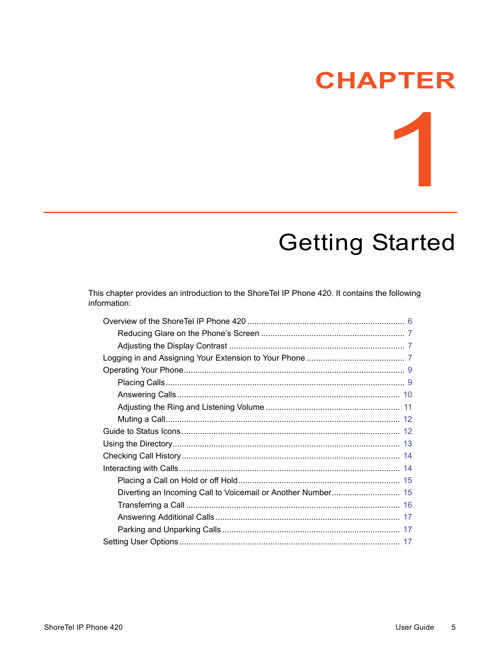# **CHAPTER**

# <span id="page-6-1"></span>**Getting Started**

<span id="page-6-0"></span>This chapter provides an introduction to the ShoreTel IP Phone 420. It contains the following information: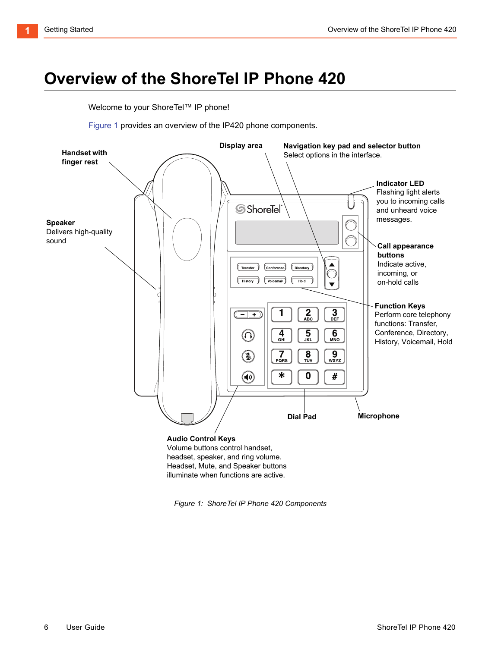# <span id="page-7-0"></span>**Overview of the ShoreTel IP Phone 420**

Welcome to your ShoreTel™ IP phone!

[Figure 1](#page-7-1) provides an overview of the IP420 phone components.



<span id="page-7-1"></span>*Figure 1: ShoreTel IP Phone 420 Components*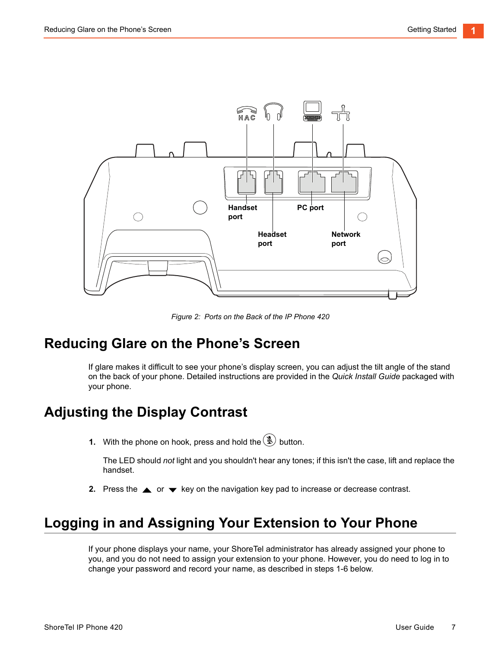

*Figure 2: Ports on the Back of the IP Phone 420*

### <span id="page-8-0"></span>**Reducing Glare on the Phone's Screen**

If glare makes it difficult to see your phone's display screen, you can adjust the tilt angle of the stand on the back of your phone. Detailed instructions are provided in the *Quick Install Guide* packaged with your phone.

## <span id="page-8-1"></span>**Adjusting the Display Contrast**

**1.** With the phone on hook, press and hold the  $(\mathcal{L})$  button.

The LED should *not* light and you shouldn't hear any tones; if this isn't the case, lift and replace the handset.

**2.** Press the  $\triangle$  or  $\blacktriangleright$  key on the navigation key pad to increase or decrease contrast.

## <span id="page-8-2"></span>**Logging in and Assigning Your Extension to Your Phone**

If your phone displays your name, your ShoreTel administrator has already assigned your phone to you, and you do not need to assign your extension to your phone. However, you do need to log in to change your password and record your name, as described in steps 1-6 below.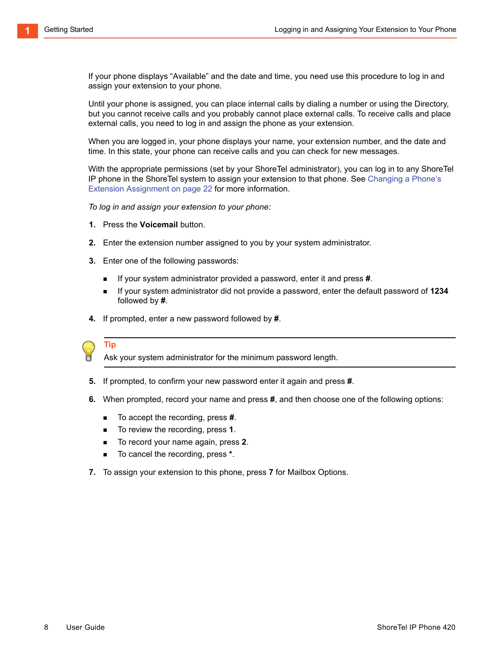If your phone displays "Available" and the date and time, you need use this procedure to log in and assign your extension to your phone.

Until your phone is assigned, you can place internal calls by dialing a number or using the Directory, but you cannot receive calls and you probably cannot place external calls. To receive calls and place external calls, you need to log in and assign the phone as your extension.

When you are logged in, your phone displays your name, your extension number, and the date and time. In this state, your phone can receive calls and you can check for new messages.

With the appropriate permissions (set by your ShoreTel administrator), you can log in to any ShoreTel IP phone in the ShoreTel system to assign your extension to that phone. See [Changing a Phone's](#page-23-2)  [Extension Assignment on page 22](#page-23-2) for more information.

*To log in and assign your extension to your phone:*

- **1.** Press the **Voicemail** button.
- **2.** Enter the extension number assigned to you by your system administrator.
- **3.** Enter one of the following passwords:
	- If your system administrator provided a password, enter it and press **#**.
	- If your system administrator did not provide a password, enter the default password of 1234 followed by **#**.
- **4.** If prompted, enter a new password followed by **#**.



**Tip**

Ask your system administrator for the minimum password length.

- **5.** If prompted, to confirm your new password enter it again and press **#**.
- **6.** When prompted, record your name and press **#**, and then choose one of the following options:
	- To accept the recording, press **#**.
	- To review the recording, press **1**.
	- To record your name again, press 2.
	- To cancel the recording, press \*.
- **7.** To assign your extension to this phone, press **7** for Mailbox Options.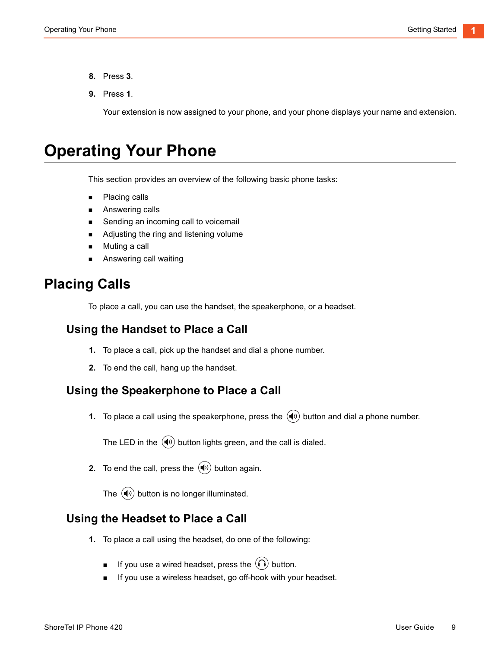- **8.** Press **3**.
- **9.** Press **1**.

Your extension is now assigned to your phone, and your phone displays your name and extension.

## <span id="page-10-0"></span>**Operating Your Phone**

This section provides an overview of the following basic phone tasks:

- **Placing calls**
- **Answering calls**
- Sending an incoming call to voicemail
- Adjusting the ring and listening volume
- **Muting a call**
- Answering call waiting

### <span id="page-10-1"></span>**Placing Calls**

To place a call, you can use the handset, the speakerphone, or a headset.

#### **Using the Handset to Place a Call**

- **1.** To place a call, pick up the handset and dial a phone number.
- **2.** To end the call, hang up the handset.

#### **Using the Speakerphone to Place a Call**

**1.** To place a call using the speakerphone, press the  $(\blacklozenge)$  button and dial a phone number.

The LED in the  $\left(\bigvee\right)$  button lights green, and the call is dialed.

**2.** To end the call, press the  $(\blacktriangleleft v)$  button again.

The  $\left(\blacklozenge\right)$  button is no longer illuminated.

#### **Using the Headset to Place a Call**

- **1.** To place a call using the headset, do one of the following:
	- **If you use a wired headset, press the**  $\widehat{(\Omega)}$  **button.**
	- If you use a wireless headset, go off-hook with your headset.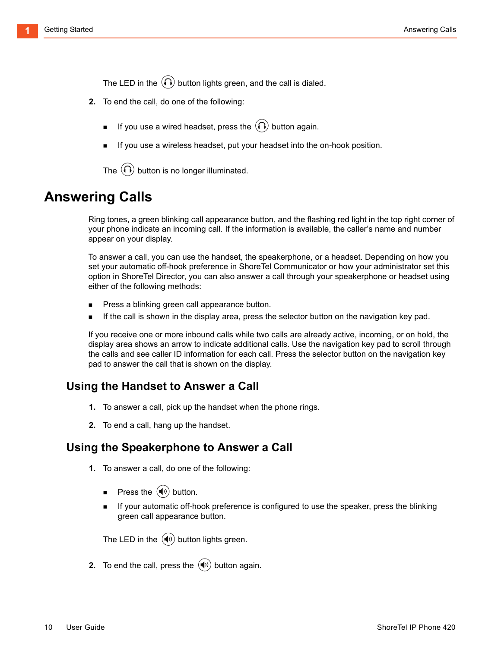The LED in the  $\langle \Omega \rangle$  button lights green, and the call is dialed.

- **2.** To end the call, do one of the following:
	- If you use a wired headset, press the  $\left(\bigcap\right)$  button again.
	- If you use a wireless headset, put your headset into the on-hook position.

The  $\left(\bigcap\right)$  button is no longer illuminated.

## <span id="page-11-0"></span>**Answering Calls**

Ring tones, a green blinking call appearance button, and the flashing red light in the top right corner of your phone indicate an incoming call. If the information is available, the caller's name and number appear on your display.

To answer a call, you can use the handset, the speakerphone, or a headset. Depending on how you set your automatic off-hook preference in ShoreTel Communicator or how your administrator set this option in ShoreTel Director, you can also answer a call through your speakerphone or headset using either of the following methods:

- Press a blinking green call appearance button.
- If the call is shown in the display area, press the selector button on the navigation key pad.

If you receive one or more inbound calls while two calls are already active, incoming, or on hold, the display area shows an arrow to indicate additional calls. Use the navigation key pad to scroll through the calls and see caller ID information for each call. Press the selector button on the navigation key pad to answer the call that is shown on the display.

#### **Using the Handset to Answer a Call**

- **1.** To answer a call, pick up the handset when the phone rings.
- **2.** To end a call, hang up the handset.

#### **Using the Speakerphone to Answer a Call**

- **1.** To answer a call, do one of the following:
	- **Press the**  $(\blacklozenge)$  **button.**
	- If your automatic off-hook preference is configured to use the speaker, press the blinking green call appearance button.

The LED in the  $(\biguplus)$  button lights green.

**2.** To end the call, press the  $(\blacklozenge)$  button again.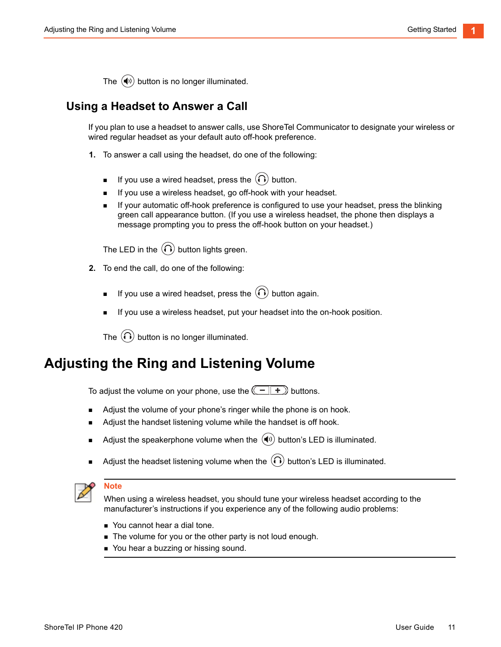The  $\left(\blacklozenge\right)$  button is no longer illuminated.

### **Using a Headset to Answer a Call**

If you plan to use a headset to answer calls, use ShoreTel Communicator to designate your wireless or wired regular headset as your default auto off-hook preference.

- **1.** To answer a call using the headset, do one of the following:
	- If you use a wired headset, press the  $\Omega$  button.
	- If you use a wireless headset, go off-hook with your headset.
	- If your automatic off-hook preference is configured to use your headset, press the blinking green call appearance button. (If you use a wireless headset, the phone then displays a message prompting you to press the off-hook button on your headset.)

The LED in the  $\left(\bigcap\right)$  button lights green.

- **2.** To end the call, do one of the following:
	- If you use a wired headset, press the  $\left(\bigcap\right)$  button again.
	- If you use a wireless headset, put your headset into the on-hook position.

The  $\Omega$  button is no longer illuminated.

## <span id="page-12-0"></span>**Adjusting the Ring and Listening Volume**

To adjust the volume on your phone, use the  $\left(\begin{array}{c} \begin{array}{c} \begin{array}{c} \end{array} & \begin{array}{c} \end{array} & \begin{array}{c} \end{array} & \end{array} & \begin{array}{c} \end{array} & \begin{array}{c} \end{array} & \end{array} & \begin{array}{c} \end{array} & \begin{array}{c} \end{array} & \begin{array}{c} \end{array} & \begin{array}{c} \end{array} & \begin{array}{c} \end{array} & \begin{array}{c} \end{array} & \begin{array}{$ 

- Adjust the volume of your phone's ringer while the phone is on hook.
- Adjust the handset listening volume while the handset is off hook.
- Adjust the speakerphone volume when the  $(\blacktriangleleft v)$  button's LED is illuminated.
- Adjust the headset listening volume when the  $\Omega$  button's LED is illuminated.



#### **Note**

When using a wireless headset, you should tune your wireless headset according to the manufacturer's instructions if you experience any of the following audio problems:

- You cannot hear a dial tone.
- The volume for you or the other party is not loud enough.
- You hear a buzzing or hissing sound.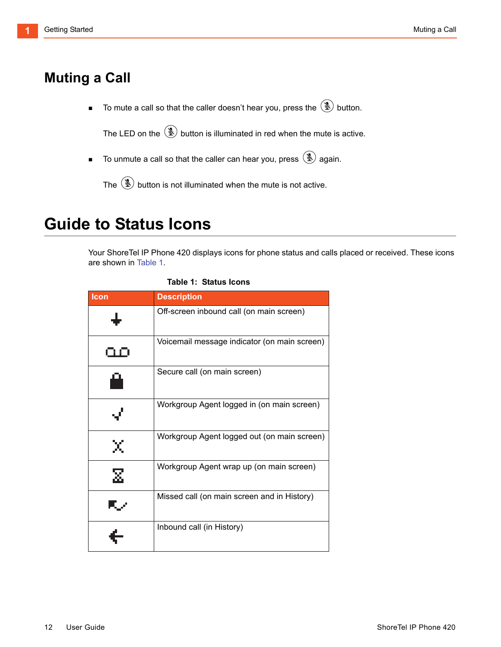## <span id="page-13-0"></span>**Muting a Call**

 $\blacksquare$  To mute a call so that the caller doesn't hear you, press the  $\circledast$  button.

The LED on the  $\circledast$  button is illuminated in red when the mute is active.

 $\blacksquare$  To unmute a call so that the caller can hear you, press  $\mathcal{L}$  again.

The  $\mathbf{R}$  button is not illuminated when the mute is not active.

## <span id="page-13-1"></span>**Guide to Status Icons**

Your ShoreTel IP Phone 420 displays icons for phone status and calls placed or received. These icons are shown in [Table 1.](#page-13-2)

<span id="page-13-2"></span>

| Icon | <b>Description</b>                           |
|------|----------------------------------------------|
|      | Off-screen inbound call (on main screen)     |
|      | Voicemail message indicator (on main screen) |
| ĽЦ.  | Secure call (on main screen)                 |
| √    | Workgroup Agent logged in (on main screen)   |
|      | Workgroup Agent logged out (on main screen)  |
|      | Workgroup Agent wrap up (on main screen)     |
| ▚▞   | Missed call (on main screen and in History)  |
|      | Inbound call (in History)                    |

<span id="page-13-3"></span>

| Table 1:  Status Icons |  |
|------------------------|--|
|------------------------|--|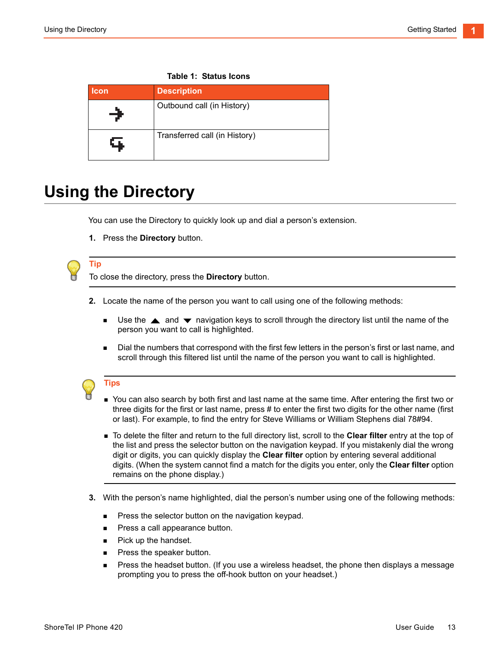| <b>Icon</b> | <b>Description</b>            |
|-------------|-------------------------------|
| →           | Outbound call (in History)    |
| q,          | Transferred call (in History) |

#### **Table 1: Status Icons**

# <span id="page-14-0"></span>**Using the Directory**

You can use the Directory to quickly look up and dial a person's extension.

**1.** Press the **Directory** button.

**Tip**

To close the directory, press the **Directory** button.

- **2.** Locate the name of the person you want to call using one of the following methods:
	- **Use the**  $\triangle$  **and**  $\blacktriangledown$  **navigation keys to scroll through the directory list until the name of the** person you want to call is highlighted.
	- **Dial the numbers that correspond with the first few letters in the person's first or last name, and** scroll through this filtered list until the name of the person you want to call is highlighted.

#### **Tips**

- You can also search by both first and last name at the same time. After entering the first two or three digits for the first or last name, press # to enter the first two digits for the other name (first or last). For example, to find the entry for Steve Williams or William Stephens dial 78#94.
- To delete the filter and return to the full directory list, scroll to the **Clear filter** entry at the top of the list and press the selector button on the navigation keypad. If you mistakenly dial the wrong digit or digits, you can quickly display the **Clear filter** option by entering several additional digits. (When the system cannot find a match for the digits you enter, only the **Clear filter** option remains on the phone display.)
- **3.** With the person's name highlighted, dial the person's number using one of the following methods:
	- **Press the selector button on the navigation keypad.**
	- **Press a call appearance button.**
	- **Pick up the handset.**
	- **Press the speaker button.**
	- **Press the headset button.** (If you use a wireless headset, the phone then displays a message prompting you to press the off-hook button on your headset.)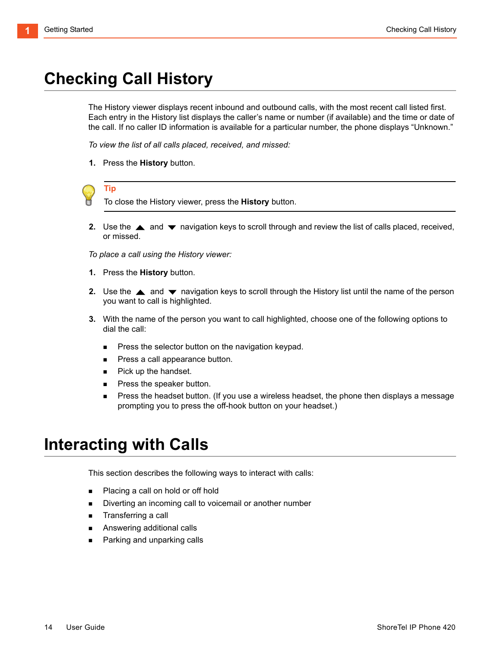# <span id="page-15-0"></span>**Checking Call History**

The History viewer displays recent inbound and outbound calls, with the most recent call listed first. Each entry in the History list displays the caller's name or number (if available) and the time or date of the call. If no caller ID information is available for a particular number, the phone displays "Unknown."

*To view the list of all calls placed, received, and missed:* 

**1.** Press the **History** button.



**Tip**

To close the History viewer, press the **History** button.

**2.** Use the  $\triangle$  and  $\blacktriangledown$  navigation keys to scroll through and review the list of calls placed, received, or missed.

*To place a call using the History viewer:*

- **1.** Press the **History** button.
- **2.** Use the  $\triangle$  and  $\blacktriangledown$  navigation keys to scroll through the History list until the name of the person you want to call is highlighted.
- **3.** With the name of the person you want to call highlighted, choose one of the following options to dial the call:
	- **Press the selector button on the navigation keypad.**
	- **Press a call appearance button.**
	- **Pick up the handset.**
	- **Press the speaker button.**
	- **Press the headset button.** (If you use a wireless headset, the phone then displays a message prompting you to press the off-hook button on your headset.)

## <span id="page-15-1"></span>**Interacting with Calls**

This section describes the following ways to interact with calls:

- Placing a call on hold or off hold
- Diverting an incoming call to voicemail or another number
- **Transferring a call**
- Answering additional calls
- **Parking and unparking calls**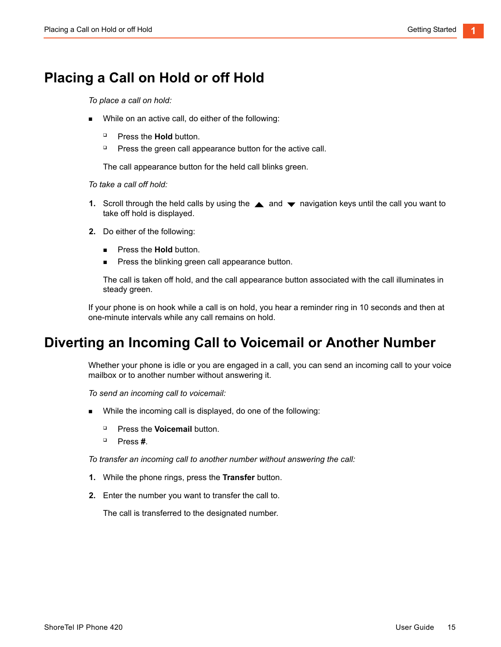## <span id="page-16-0"></span>**Placing a Call on Hold or off Hold**

*To place a call on hold:*

- While on an active call, do either of the following:
	- **Press the Hold button.**
	- **Press the green call appearance button for the active call.**

The call appearance button for the held call blinks green.

*To take a call off hold:*

- **1.** Scroll through the held calls by using the **A** and **v** navigation keys until the call you want to take off hold is displayed.
- **2.** Do either of the following:
	- **Press the Hold button.**
	- **Press the blinking green call appearance button.**

The call is taken off hold, and the call appearance button associated with the call illuminates in steady green.

If your phone is on hook while a call is on hold, you hear a reminder ring in 10 seconds and then at one-minute intervals while any call remains on hold.

## <span id="page-16-1"></span>**Diverting an Incoming Call to Voicemail or Another Number**

Whether your phone is idle or you are engaged in a call, you can send an incoming call to your voice mailbox or to another number without answering it.

*To send an incoming call to voicemail:*

- While the incoming call is displayed, do one of the following:
	- **Press the Voicemail button.**
	- Press **#**.

*To transfer an incoming call to another number without answering the call:*

- **1.** While the phone rings, press the **Transfer** button.
- **2.** Enter the number you want to transfer the call to.

The call is transferred to the designated number.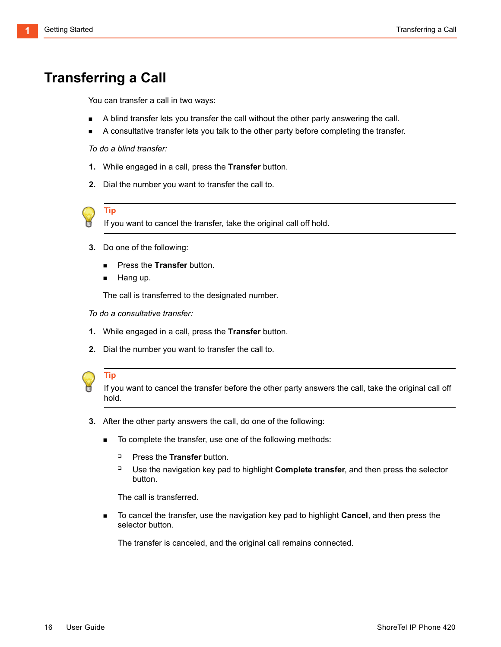## <span id="page-17-0"></span>**Transferring a Call**

You can transfer a call in two ways:

- A blind transfer lets you transfer the call without the other party answering the call.
- A consultative transfer lets you talk to the other party before completing the transfer.

*To do a blind transfer:*

- **1.** While engaged in a call, press the **Transfer** button.
- **2.** Dial the number you want to transfer the call to.



**Tip**

If you want to cancel the transfer, take the original call off hold.

- **3.** Do one of the following:
	- **Press the Transfer button.**
	- Hang up.

The call is transferred to the designated number.

*To do a consultative transfer:*

- **1.** While engaged in a call, press the **Transfer** button.
- **2.** Dial the number you want to transfer the call to.



#### **Tip**

If you want to cancel the transfer before the other party answers the call, take the original call off hold.

- **3.** After the other party answers the call, do one of the following:
	- To complete the transfer, use one of the following methods:
		- **Press the Transfer button.**
		- □ Use the navigation key pad to highlight **Complete transfer**, and then press the selector button.

The call is transferred.

 To cancel the transfer, use the navigation key pad to highlight **Cancel**, and then press the selector button.

The transfer is canceled, and the original call remains connected.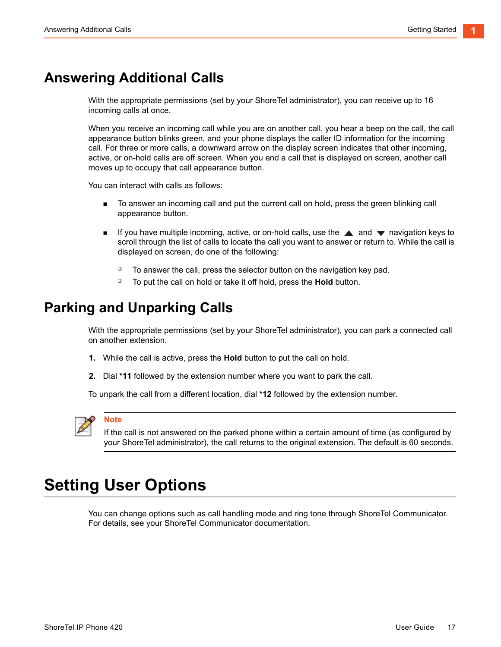## <span id="page-18-0"></span>**Answering Additional Calls**

With the appropriate permissions (set by your ShoreTel administrator), you can receive up to 16 incoming calls at once.

When you receive an incoming call while you are on another call, you hear a beep on the call, the call appearance button blinks green, and your phone displays the caller ID information for the incoming call. For three or more calls, a downward arrow on the display screen indicates that other incoming, active, or on-hold calls are off screen. When you end a call that is displayed on screen, another call moves up to occupy that call appearance button.

You can interact with calls as follows:

- To answer an incoming call and put the current call on hold, press the green blinking call appearance button.
- If you have multiple incoming, active, or on-hold calls, use the  $\triangle$  and  $\blacktriangledown$  navigation keys to scroll through the list of calls to locate the call you want to answer or return to. While the call is displayed on screen, do one of the following:
	- $\Box$  To answer the call, press the selector button on the navigation key pad.
	- <sup>D</sup> To put the call on hold or take it off hold, press the **Hold** button.

## <span id="page-18-1"></span>**Parking and Unparking Calls**

With the appropriate permissions (set by your ShoreTel administrator), you can park a connected call on another extension.

- **1.** While the call is active, press the **Hold** button to put the call on hold.
- **2.** Dial **\*11** followed by the extension number where you want to park the call.

To unpark the call from a different location, dial **\*12** followed by the extension number.



#### **Note**

If the call is not answered on the parked phone within a certain amount of time (as configured by your ShoreTel administrator), the call returns to the original extension. The default is 60 seconds.

## <span id="page-18-2"></span>**Setting User Options**

You can change options such as call handling mode and ring tone through ShoreTel Communicator. For details, see your ShoreTel Communicator documentation.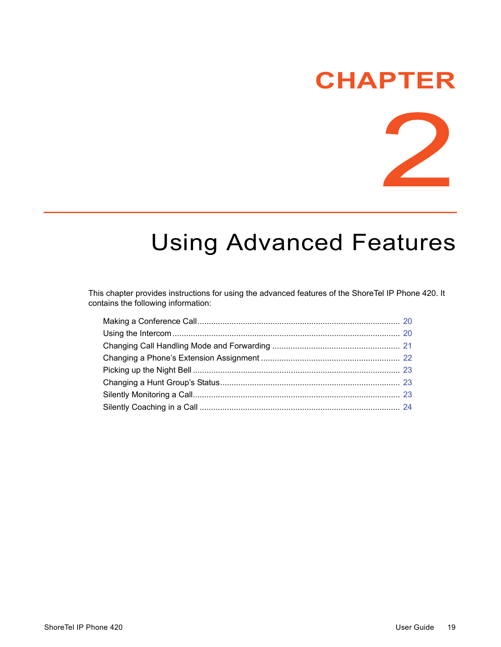# **CHAPTER**



# <span id="page-20-1"></span>**Using Advanced Features**

<span id="page-20-0"></span>This chapter provides instructions for using the advanced features of the ShoreTel IP Phone 420. It contains the following information: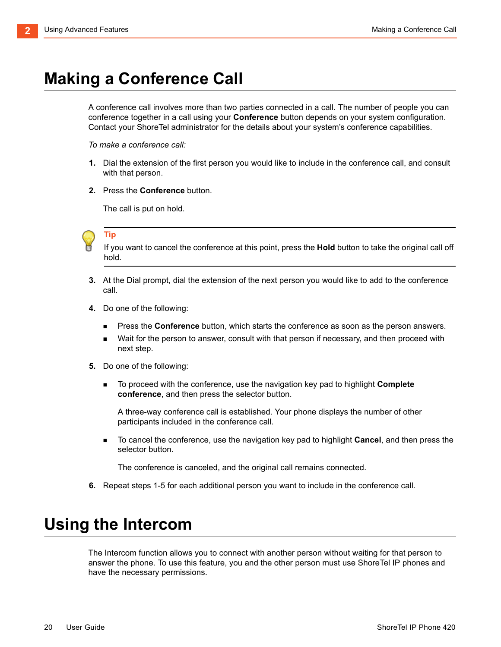# <span id="page-21-0"></span>**Making a Conference Call**

A conference call involves more than two parties connected in a call. The number of people you can conference together in a call using your **Conference** button depends on your system configuration. Contact your ShoreTel administrator for the details about your system's conference capabilities.

*To make a conference call:*

- <span id="page-21-2"></span>**1.** Dial the extension of the first person you would like to include in the conference call, and consult with that person.
- **2.** Press the **Conference** button.

The call is put on hold.



If you want to cancel the conference at this point, press the **Hold** button to take the original call off hold.

- **3.** At the Dial prompt, dial the extension of the next person you would like to add to the conference call.
- **4.** Do one of the following:
	- **Press the Conference** button, which starts the conference as soon as the person answers.
	- Wait for the person to answer, consult with that person if necessary, and then proceed with next step.
- <span id="page-21-3"></span>**5.** Do one of the following:
	- To proceed with the conference, use the navigation key pad to highlight **Complete conference**, and then press the selector button.

A three-way conference call is established. Your phone displays the number of other participants included in the conference call.

 To cancel the conference, use the navigation key pad to highlight **Cancel**, and then press the selector button.

The conference is canceled, and the original call remains connected.

**6.** Repeat steps [1](#page-21-2)[-5](#page-21-3) for each additional person you want to include in the conference call.

## <span id="page-21-1"></span>**Using the Intercom**

The Intercom function allows you to connect with another person without waiting for that person to answer the phone. To use this feature, you and the other person must use ShoreTel IP phones and have the necessary permissions.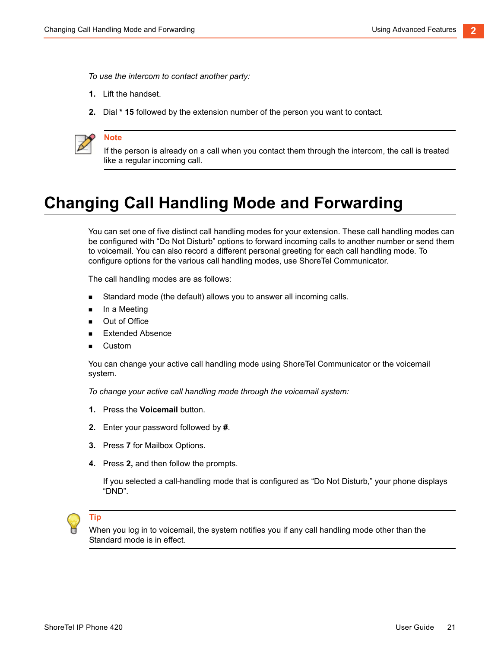*To use the intercom to contact another party:*

- **1.** Lift the handset.
- **2.** Dial **\* 15** followed by the extension number of the person you want to contact.



**Note**

If the person is already on a call when you contact them through the intercom, the call is treated like a regular incoming call.

## <span id="page-22-0"></span>**Changing Call Handling Mode and Forwarding**

You can set one of five distinct call handling modes for your extension. These call handling modes can be configured with "Do Not Disturb" options to forward incoming calls to another number or send them to voicemail. You can also record a different personal greeting for each call handling mode. To configure options for the various call handling modes, use ShoreTel Communicator.

The call handling modes are as follows:

- Standard mode (the default) allows you to answer all incoming calls.
- **n** In a Meeting
- **Dut of Office**
- **Extended Absence**
- Custom

You can change your active call handling mode using ShoreTel Communicator or the voicemail system.

*To change your active call handling mode through the voicemail system:*

- **1.** Press the **Voicemail** button.
- **2.** Enter your password followed by **#**.
- **3.** Press **7** for Mailbox Options.
- **4.** Press **2,** and then follow the prompts.

If you selected a call-handling mode that is configured as "Do Not Disturb," your phone displays "DND".

### **Tip**

When you log in to voicemail, the system notifies you if any call handling mode other than the Standard mode is in effect.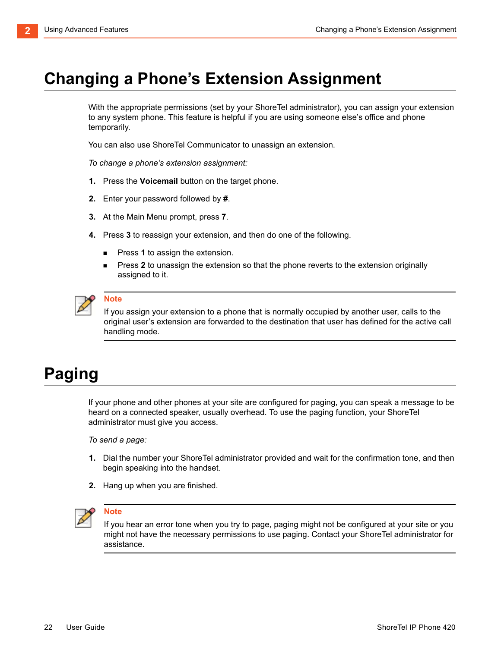# <span id="page-23-2"></span><span id="page-23-0"></span>**Changing a Phone's Extension Assignment**

With the appropriate permissions (set by your ShoreTel administrator), you can assign your extension to any system phone. This feature is helpful if you are using someone else's office and phone temporarily.

You can also use ShoreTel Communicator to unassign an extension.

*To change a phone's extension assignment:*

- **1.** Press the **Voicemail** button on the target phone.
- **2.** Enter your password followed by **#**.
- **3.** At the Main Menu prompt, press **7**.
- **4.** Press **3** to reassign your extension, and then do one of the following.
	- Press **1** to assign the extension.
	- Press **2** to unassign the extension so that the phone reverts to the extension originally assigned to it.



#### **Note**

If you assign your extension to a phone that is normally occupied by another user, calls to the original user's extension are forwarded to the destination that user has defined for the active call handling mode.

# <span id="page-23-1"></span>**Paging**

If your phone and other phones at your site are configured for paging, you can speak a message to be heard on a connected speaker, usually overhead. To use the paging function, your ShoreTel administrator must give you access.

*To send a page:*

- **1.** Dial the number your ShoreTel administrator provided and wait for the confirmation tone, and then begin speaking into the handset.
- **2.** Hang up when you are finished.



#### **Note**

If you hear an error tone when you try to page, paging might not be configured at your site or you might not have the necessary permissions to use paging. Contact your ShoreTel administrator for assistance.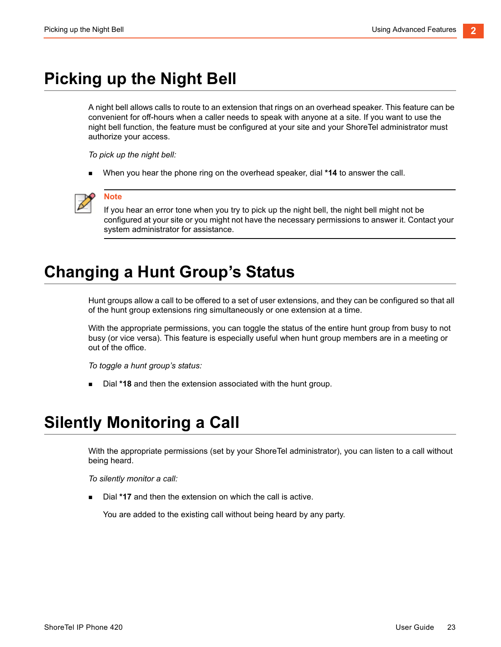# <span id="page-24-0"></span>**Picking up the Night Bell**

A night bell allows calls to route to an extension that rings on an overhead speaker. This feature can be convenient for off-hours when a caller needs to speak with anyone at a site. If you want to use the night bell function, the feature must be configured at your site and your ShoreTel administrator must authorize your access.

*To pick up the night bell:*

When you hear the phone ring on the overhead speaker, dial **\*14** to answer the call.



#### **Note**

If you hear an error tone when you try to pick up the night bell, the night bell might not be configured at your site or you might not have the necessary permissions to answer it. Contact your system administrator for assistance.

# <span id="page-24-1"></span>**Changing a Hunt Group's Status**

Hunt groups allow a call to be offered to a set of user extensions, and they can be configured so that all of the hunt group extensions ring simultaneously or one extension at a time.

With the appropriate permissions, you can toggle the status of the entire hunt group from busy to not busy (or vice versa). This feature is especially useful when hunt group members are in a meeting or out of the office.

*To toggle a hunt group's status:*

Dial **\*18** and then the extension associated with the hunt group.

## <span id="page-24-2"></span>**Silently Monitoring a Call**

With the appropriate permissions (set by your ShoreTel administrator), you can listen to a call without being heard.

*To silently monitor a call:*

Dial **\*17** and then the extension on which the call is active.

You are added to the existing call without being heard by any party.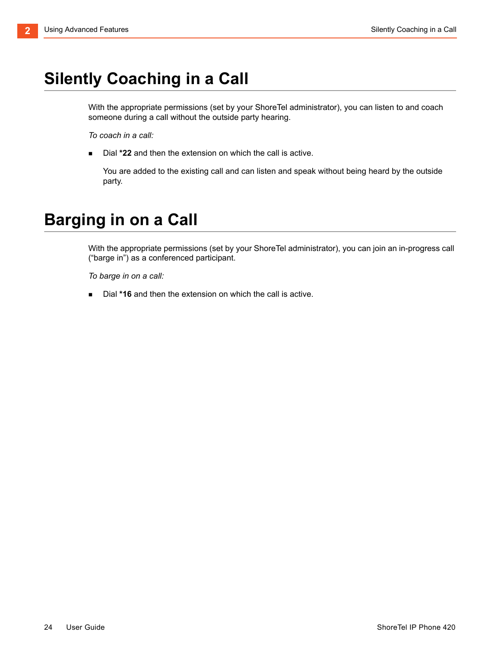# <span id="page-25-0"></span>**Silently Coaching in a Call**

With the appropriate permissions (set by your ShoreTel administrator), you can listen to and coach someone during a call without the outside party hearing.

*To coach in a call:*

Dial **\*22** and then the extension on which the call is active.

You are added to the existing call and can listen and speak without being heard by the outside party.

# <span id="page-25-1"></span>**Barging in on a Call**

With the appropriate permissions (set by your ShoreTel administrator), you can join an in-progress call ("barge in") as a conferenced participant.

*To barge in on a call:*

Dial **\*16** and then the extension on which the call is active.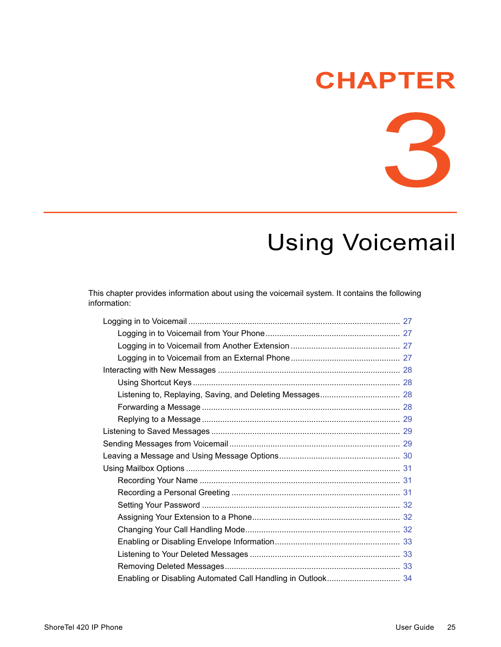# **CHAPTER**

R

# <span id="page-26-1"></span>**Using Voicemail**

<span id="page-26-0"></span>This chapter provides information about using the voicemail system. It contains the following information: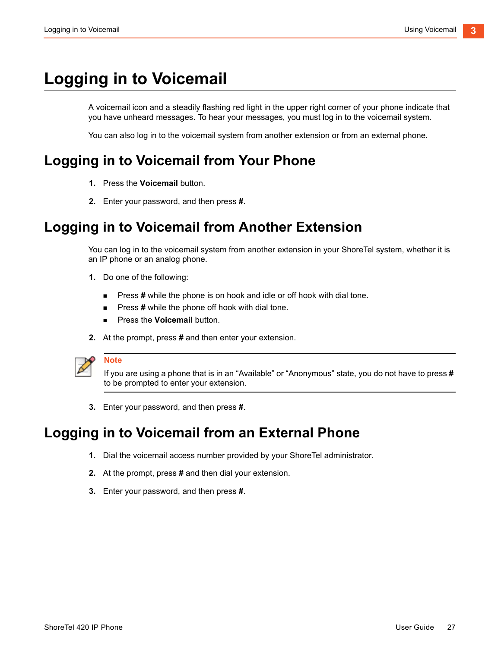# <span id="page-28-0"></span>**Logging in to Voicemail**

A voicemail icon and a steadily flashing red light in the upper right corner of your phone indicate that you have unheard messages. To hear your messages, you must log in to the voicemail system.

You can also log in to the voicemail system from another extension or from an external phone.

## <span id="page-28-1"></span>**Logging in to Voicemail from Your Phone**

- **1.** Press the **Voicemail** button.
- **2.** Enter your password, and then press **#**.

## <span id="page-28-2"></span>**Logging in to Voicemail from Another Extension**

You can log in to the voicemail system from another extension in your ShoreTel system, whether it is an IP phone or an analog phone.

- **1.** Do one of the following:
	- **Press # while the phone is on hook and idle or off hook with dial tone.**
	- **Press # while the phone off hook with dial tone.**
	- **Press the Voicemail button.**
- **2.** At the prompt, press **#** and then enter your extension.

**Note**

If you are using a phone that is in an "Available" or "Anonymous" state, you do not have to press **#** to be prompted to enter your extension.

**3.** Enter your password, and then press **#**.

## <span id="page-28-3"></span>**Logging in to Voicemail from an External Phone**

- **1.** Dial the voicemail access number provided by your ShoreTel administrator.
- **2.** At the prompt, press **#** and then dial your extension.
- **3.** Enter your password, and then press **#**.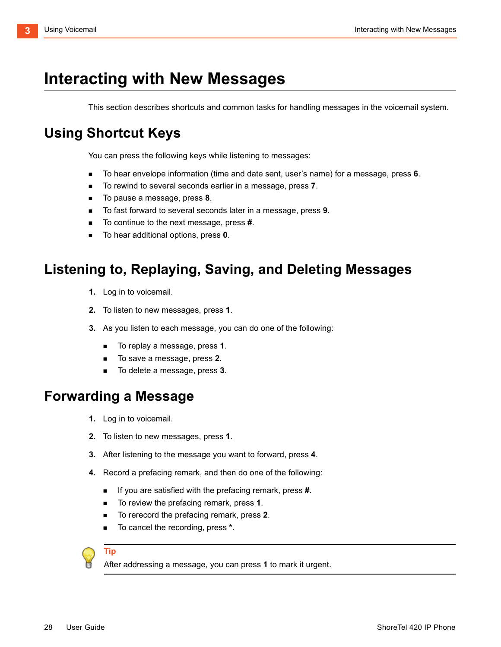# <span id="page-29-0"></span>**Interacting with New Messages**

This section describes shortcuts and common tasks for handling messages in the voicemail system.

## <span id="page-29-1"></span>**Using Shortcut Keys**

You can press the following keys while listening to messages:

- To hear envelope information (time and date sent, user's name) for a message, press **6**.
- To rewind to several seconds earlier in a message, press **7**.
- To pause a message, press **8**.
- To fast forward to several seconds later in a message, press **9**.
- To continue to the next message, press **#**.
- To hear additional options, press **0**.

## <span id="page-29-2"></span>**Listening to, Replaying, Saving, and Deleting Messages**

- **1.** Log in to voicemail.
- **2.** To listen to new messages, press **1**.
- **3.** As you listen to each message, you can do one of the following:
	- To replay a message, press **1**.
	- To save a message, press **2**.
	- To delete a message, press **3**.

### <span id="page-29-3"></span>**Forwarding a Message**

- **1.** Log in to voicemail.
- **2.** To listen to new messages, press **1**.
- **3.** After listening to the message you want to forward, press **4**.
- **4.** Record a prefacing remark, and then do one of the following:
	- If you are satisfied with the prefacing remark, press **#**.
	- To review the prefacing remark, press 1.
	- To rerecord the prefacing remark, press **2**.
	- To cancel the recording, press  $*$ .

#### **Tip**

After addressing a message, you can press **1** to mark it urgent.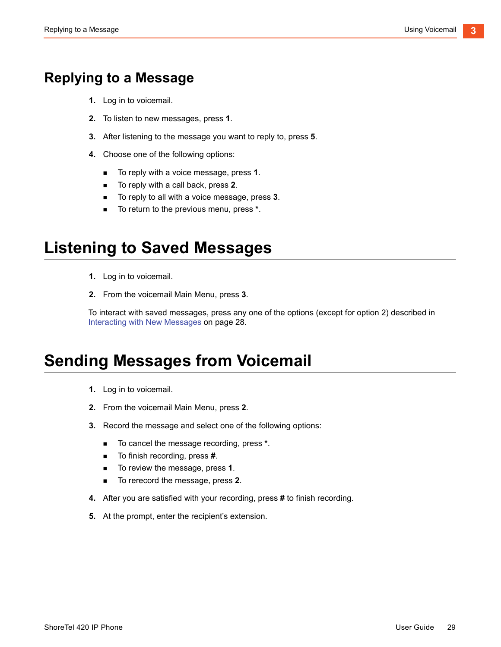## <span id="page-30-0"></span>**Replying to a Message**

- **1.** Log in to voicemail.
- **2.** To listen to new messages, press **1**.
- **3.** After listening to the message you want to reply to, press **5**.
- **4.** Choose one of the following options:
	- To reply with a voice message, press **1**.
	- To reply with a call back, press **2**.
	- To reply to all with a voice message, press 3.
	- To return to the previous menu, press **\***.

## <span id="page-30-1"></span>**Listening to Saved Messages**

- **1.** Log in to voicemail.
- **2.** From the voicemail Main Menu, press **3**.

To interact with saved messages, press any one of the options (except for option 2) described in [Interacting with New Messages on page 28.](#page-29-0)

## <span id="page-30-2"></span>**Sending Messages from Voicemail**

- **1.** Log in to voicemail.
- **2.** From the voicemail Main Menu, press **2**.
- **3.** Record the message and select one of the following options:
	- To cancel the message recording, press \*.
	- To finish recording, press **#**.
	- To review the message, press **1**.
	- To rerecord the message, press **2**.
- **4.** After you are satisfied with your recording, press **#** to finish recording.
- **5.** At the prompt, enter the recipient's extension.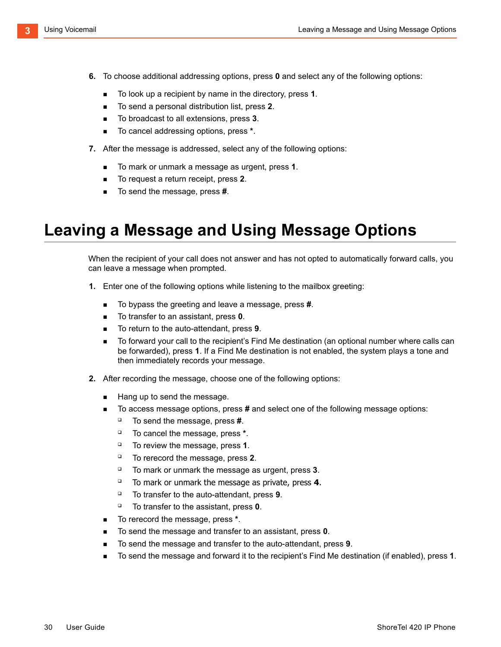- **6.** To choose additional addressing options, press **0** and select any of the following options:
	- To look up a recipient by name in the directory, press **1**.
	- To send a personal distribution list, press 2.
	- To broadcast to all extensions, press 3.
	- To cancel addressing options, press \*.
- **7.** After the message is addressed, select any of the following options:
	- To mark or unmark a message as urgent, press **1**.
	- To request a return receipt, press **2**.
	- To send the message, press **#**.

## <span id="page-31-0"></span>**Leaving a Message and Using Message Options**

When the recipient of your call does not answer and has not opted to automatically forward calls, you can leave a message when prompted.

- **1.** Enter one of the following options while listening to the mailbox greeting:
	- To bypass the greeting and leave a message, press **#**.
	- To transfer to an assistant, press **0**.
	- To return to the auto-attendant, press **9**.
	- To forward your call to the recipient's Find Me destination (an optional number where calls can be forwarded), press **1**. If a Find Me destination is not enabled, the system plays a tone and then immediately records your message.
- **2.** After recording the message, choose one of the following options:
	- Hang up to send the message.
	- To access message options, press **#** and select one of the following message options:
		- To send the message, press **#**.
		- To cancel the message, press **\***.
		- To review the message, press **1**.
		- To rerecord the message, press **2**.
		- To mark or unmark the message as urgent, press **3**.
		- To mark or unmark the message as private, press **4**.
		- To transfer to the auto-attendant, press **9**.
		- To transfer to the assistant, press **0**.
	- To rerecord the message, press **\***.
	- To send the message and transfer to an assistant, press **0**.
	- To send the message and transfer to the auto-attendant, press **9**.
	- To send the message and forward it to the recipient's Find Me destination (if enabled), press **1**.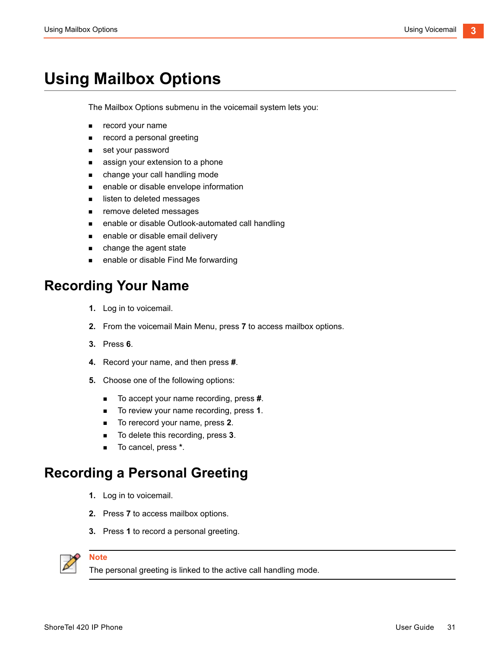# <span id="page-32-0"></span>**Using Mailbox Options**

The Mailbox Options submenu in the voicemail system lets you:

- **record your name**
- **EXECORDIA** record a personal greeting
- set your password
- **assign your extension to a phone**
- **n** change your call handling mode
- enable or disable envelope information
- **IF** listen to deleted messages
- **Fuller** remove deleted messages
- enable or disable Outlook-automated call handling
- **EXECUTE:** enable or disable email delivery
- **n** change the agent state
- **EXECUTE:** enable or disable Find Me forwarding

## <span id="page-32-1"></span>**Recording Your Name**

- **1.** Log in to voicemail.
- **2.** From the voicemail Main Menu, press **7** to access mailbox options.
- **3.** Press **6**.
- **4.** Record your name, and then press **#**.
- **5.** Choose one of the following options:
	- To accept your name recording, press **#**.
	- To review your name recording, press **1**.
	- To rerecord your name, press **2**.
	- To delete this recording, press **3**.
	- To cancel, press **\***.

## <span id="page-32-2"></span>**Recording a Personal Greeting**

- **1.** Log in to voicemail.
- **2.** Press **7** to access mailbox options.
- **3.** Press **1** to record a personal greeting.



The personal greeting is linked to the active call handling mode.

**Note**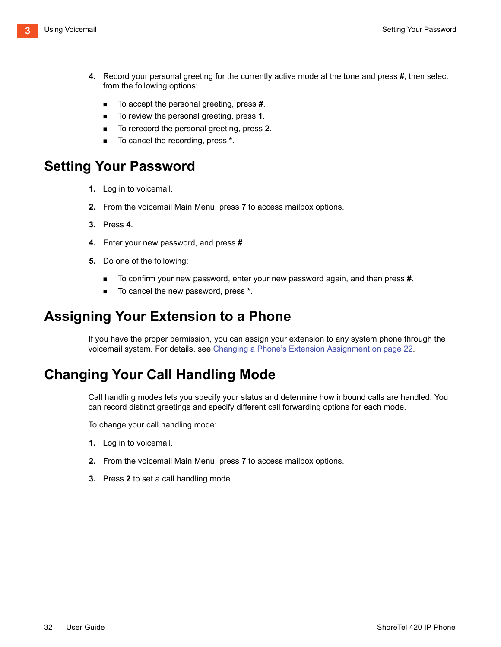- **4.** Record your personal greeting for the currently active mode at the tone and press **#**, then select from the following options:
	- To accept the personal greeting, press **#**.
	- To review the personal greeting, press 1.
	- To rerecord the personal greeting, press **2**.
	- To cancel the recording, press \*.

## <span id="page-33-0"></span>**Setting Your Password**

- **1.** Log in to voicemail.
- **2.** From the voicemail Main Menu, press **7** to access mailbox options.
- **3.** Press **4**.
- **4.** Enter your new password, and press **#**.
- **5.** Do one of the following:
	- To confirm your new password, enter your new password again, and then press **#**.
	- To cancel the new password, press \*.

### <span id="page-33-1"></span>**Assigning Your Extension to a Phone**

If you have the proper permission, you can assign your extension to any system phone through the voicemail system. For details, see [Changing a Phone's Extension Assignment on page 22.](#page-23-2)

## <span id="page-33-2"></span>**Changing Your Call Handling Mode**

Call handling modes lets you specify your status and determine how inbound calls are handled. You can record distinct greetings and specify different call forwarding options for each mode.

To change your call handling mode:

- **1.** Log in to voicemail.
- **2.** From the voicemail Main Menu, press **7** to access mailbox options.
- **3.** Press **2** to set a call handling mode.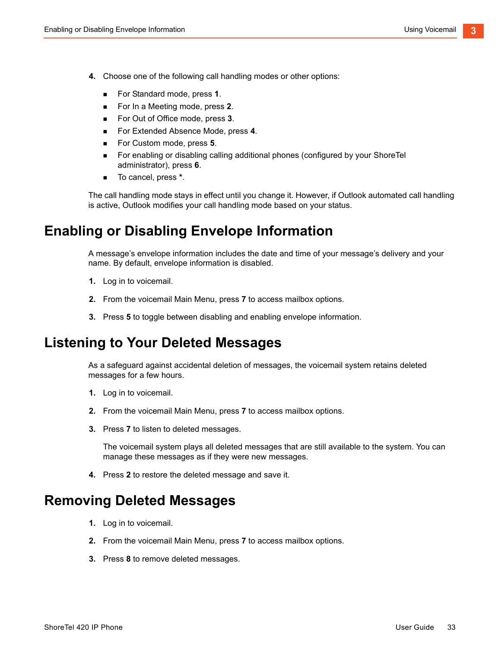- **4.** Choose one of the following call handling modes or other options:
	- For Standard mode, press **1**.
	- For In a Meeting mode, press **2**.
	- For Out of Office mode, press **3**.
	- For Extended Absence Mode, press 4.
	- For Custom mode, press **5**.
	- For enabling or disabling calling additional phones (configured by your ShoreTel administrator), press **6**.
	- To cancel, press **\***.

The call handling mode stays in effect until you change it. However, if Outlook automated call handling is active, Outlook modifies your call handling mode based on your status.

## <span id="page-34-0"></span>**Enabling or Disabling Envelope Information**

A message's envelope information includes the date and time of your message's delivery and your name. By default, envelope information is disabled.

- **1.** Log in to voicemail.
- **2.** From the voicemail Main Menu, press **7** to access mailbox options.
- **3.** Press **5** to toggle between disabling and enabling envelope information.

## <span id="page-34-1"></span>**Listening to Your Deleted Messages**

As a safeguard against accidental deletion of messages, the voicemail system retains deleted messages for a few hours.

- **1.** Log in to voicemail.
- **2.** From the voicemail Main Menu, press **7** to access mailbox options.
- **3.** Press **7** to listen to deleted messages.

The voicemail system plays all deleted messages that are still available to the system. You can manage these messages as if they were new messages.

**4.** Press **2** to restore the deleted message and save it.

### <span id="page-34-2"></span>**Removing Deleted Messages**

- **1.** Log in to voicemail.
- **2.** From the voicemail Main Menu, press **7** to access mailbox options.
- **3.** Press **8** to remove deleted messages.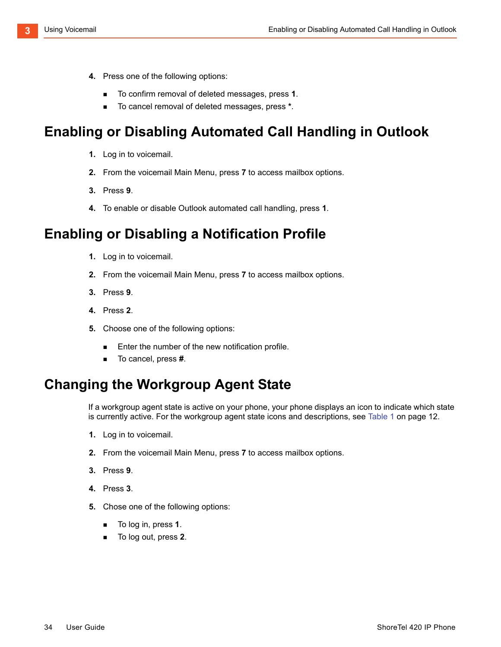- **4.** Press one of the following options:
	- To confirm removal of deleted messages, press **1**.
	- To cancel removal of deleted messages, press **\***.

## <span id="page-35-0"></span>**Enabling or Disabling Automated Call Handling in Outlook**

- **1.** Log in to voicemail.
- **2.** From the voicemail Main Menu, press **7** to access mailbox options.
- **3.** Press **9**.
- **4.** To enable or disable Outlook automated call handling, press **1**.

## <span id="page-35-1"></span>**Enabling or Disabling a Notification Profile**

- **1.** Log in to voicemail.
- **2.** From the voicemail Main Menu, press **7** to access mailbox options.
- **3.** Press **9**.
- **4.** Press **2**.
- **5.** Choose one of the following options:
	- **Enter the number of the new notification profile.**
	- To cancel, press **#**.

## <span id="page-35-2"></span>**Changing the Workgroup Agent State**

If a workgroup agent state is active on your phone, your phone displays an icon to indicate which state is currently active. For the workgroup agent state icons and descriptions, see [Table 1 on page 12.](#page-13-3)

- **1.** Log in to voicemail.
- **2.** From the voicemail Main Menu, press **7** to access mailbox options.
- **3.** Press **9**.
- **4.** Press **3**.
- **5.** Chose one of the following options:
	- To log in, press **1**.
	- To log out, press **2**.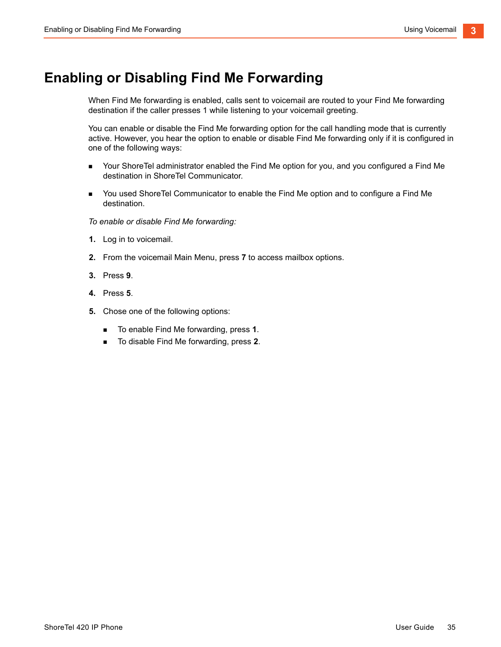## <span id="page-36-0"></span>**Enabling or Disabling Find Me Forwarding**

When Find Me forwarding is enabled, calls sent to voicemail are routed to your Find Me forwarding destination if the caller presses 1 while listening to your voicemail greeting.

You can enable or disable the Find Me forwarding option for the call handling mode that is currently active. However, you hear the option to enable or disable Find Me forwarding only if it is configured in one of the following ways:

- Your ShoreTel administrator enabled the Find Me option for you, and you configured a Find Me destination in ShoreTel Communicator.
- You used ShoreTel Communicator to enable the Find Me option and to configure a Find Me destination.

*To enable or disable Find Me forwarding:*

- **1.** Log in to voicemail.
- **2.** From the voicemail Main Menu, press **7** to access mailbox options.
- **3.** Press **9**.
- **4.** Press **5**.
- **5.** Chose one of the following options:
	- To enable Find Me forwarding, press **1**.
	- To disable Find Me forwarding, press 2.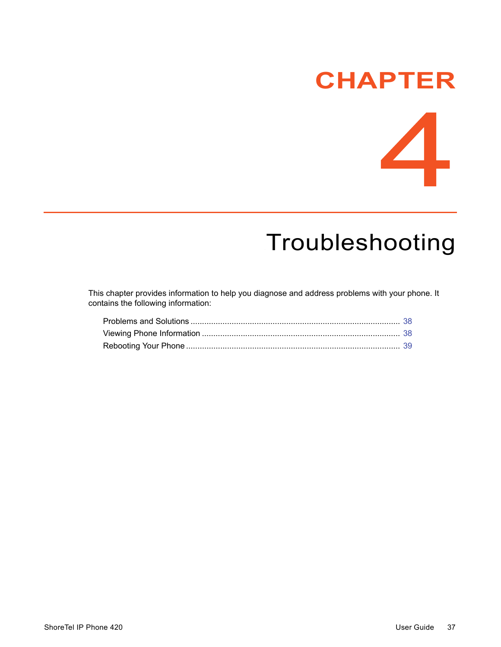# **CHAPTER**



# <span id="page-38-1"></span>**Troubleshooting**

<span id="page-38-0"></span>This chapter provides information to help you diagnose and address problems with your phone. It contains the following information: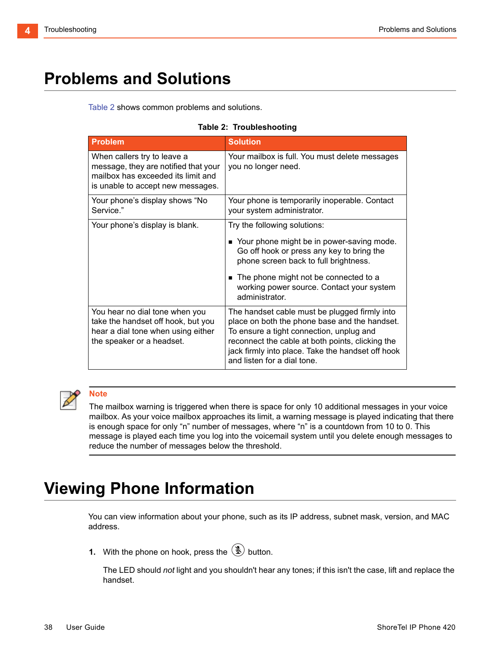# <span id="page-39-0"></span>**Problems and Solutions**

[Table 2](#page-39-2) shows common problems and solutions.

#### **Table 2: Troubleshooting**

<span id="page-39-2"></span>

| <b>Problem</b>                                                                                                                                 | <b>Solution</b>                                                                                                                                                                                                                                                                    |
|------------------------------------------------------------------------------------------------------------------------------------------------|------------------------------------------------------------------------------------------------------------------------------------------------------------------------------------------------------------------------------------------------------------------------------------|
| When callers try to leave a<br>message, they are notified that your<br>mailbox has exceeded its limit and<br>is unable to accept new messages. | Your mailbox is full. You must delete messages<br>you no longer need.                                                                                                                                                                                                              |
| Your phone's display shows "No<br>Service."                                                                                                    | Your phone is temporarily inoperable. Contact<br>your system administrator.                                                                                                                                                                                                        |
| Your phone's display is blank.                                                                                                                 | Try the following solutions:<br>Your phone might be in power-saving mode.<br>Go off hook or press any key to bring the<br>phone screen back to full brightness.<br>The phone might not be connected to a<br>working power source. Contact your system<br>administrator.            |
| You hear no dial tone when you<br>take the handset off hook, but you<br>hear a dial tone when using either<br>the speaker or a headset.        | The handset cable must be plugged firmly into<br>place on both the phone base and the handset.<br>To ensure a tight connection, unplug and<br>reconnect the cable at both points, clicking the<br>jack firmly into place. Take the handset off hook<br>and listen for a dial tone. |



#### **Note**

The mailbox warning is triggered when there is space for only 10 additional messages in your voice mailbox. As your voice mailbox approaches its limit, a warning message is played indicating that there is enough space for only "n" number of messages, where "n" is a countdown from 10 to 0. This message is played each time you log into the voicemail system until you delete enough messages to reduce the number of messages below the threshold.

## <span id="page-39-1"></span>**Viewing Phone Information**

You can view information about your phone, such as its IP address, subnet mask, version, and MAC address.

**1.** With the phone on hook, press the  $(\mathcal{L})$  button.

The LED should *not* light and you shouldn't hear any tones; if this isn't the case, lift and replace the handset.